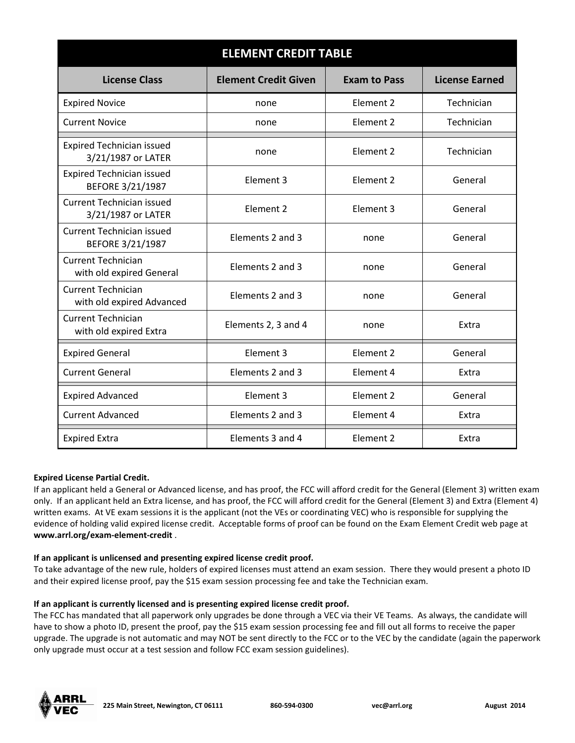| <b>ELEMENT CREDIT TABLE</b>                            |                             |                     |                       |
|--------------------------------------------------------|-----------------------------|---------------------|-----------------------|
| <b>License Class</b>                                   | <b>Element Credit Given</b> | <b>Exam to Pass</b> | <b>License Earned</b> |
| <b>Expired Novice</b>                                  | none                        | Flement 2           | Technician            |
| <b>Current Novice</b>                                  | none                        | Element 2           | Technician            |
| <b>Expired Technician issued</b><br>3/21/1987 or LATER | none                        | Flement 2           | Technician            |
| <b>Expired Technician issued</b><br>BEFORE 3/21/1987   | Element 3                   | Element 2           | General               |
| <b>Current Technician issued</b><br>3/21/1987 or LATER | Element 2                   | Element 3           | General               |
| <b>Current Technician issued</b><br>BEFORE 3/21/1987   | Elements 2 and 3            | none                | General               |
| <b>Current Technician</b><br>with old expired General  | Elements 2 and 3            | none                | General               |
| <b>Current Technician</b><br>with old expired Advanced | Elements 2 and 3            | none                | General               |
| <b>Current Technician</b><br>with old expired Extra    | Elements 2, 3 and 4         | none                | Extra                 |
| <b>Expired General</b>                                 | Element 3                   | Element 2           | General               |
| <b>Current General</b>                                 | Elements 2 and 3            | Element 4           | Extra                 |
| <b>Expired Advanced</b>                                | Element 3                   | Element 2           | General               |
| <b>Current Advanced</b>                                | Elements 2 and 3            | Element 4           | Extra                 |
| <b>Expired Extra</b>                                   | Elements 3 and 4            | Element 2           | Extra                 |

# **Expired License Partial Credit.**

If an applicant held a General or Advanced license, and has proof, the FCC will afford credit for the General (Element 3) written exam only. If an applicant held an Extra license, and has proof, the FCC will afford credit for the General (Element 3) and Extra (Element 4) written exams. At VE exam sessions it is the applicant (not the VEs or coordinating VEC) who is responsible for supplying the evidence of holding valid expired license credit. Acceptable forms of proof can be found on the Exam Element Credit web page at **www.arrl.org/exam-element-credit** .

## **If an applicant is unlicensed and presenting expired license credit proof.**

To take advantage of the new rule, holders of expired licenses must attend an exam session. There they would present a photo ID and their expired license proof, pay the \$15 exam session processing fee and take the Technician exam.

## **If an applicant is currently licensed and is presenting expired license credit proof.**

The FCC has mandated that all paperwork only upgrades be done through a VEC via their VE Teams. As always, the candidate will have to show a photo ID, present the proof, pay the \$15 exam session processing fee and fill out all forms to receive the paper upgrade. The upgrade is not automatic and may NOT be sent directly to the FCC or to the VEC by the candidate (again the paperwork only upgrade must occur at a test session and follow FCC exam session guidelines).



**225 Main Street, Newington, CT 06111 860-594-0300 vec@arrl.org August 2014**